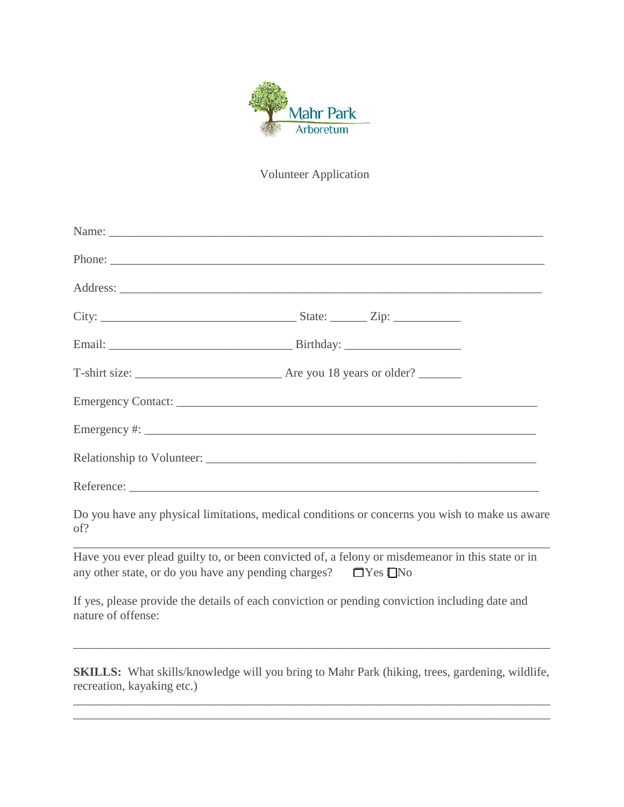

Volunteer Application

| of?                | Do you have any physical limitations, medical conditions or concerns you wish to make us aware                                                                                      |
|--------------------|-------------------------------------------------------------------------------------------------------------------------------------------------------------------------------------|
|                    | Have you ever plead guilty to, or been convicted of, a felony or misdemeanor in this state or in<br>any other state, or do you have any pending charges? $\square$ Yes $\square$ No |
| nature of offense: | If yes, please provide the details of each conviction or pending conviction including date and                                                                                      |
|                    |                                                                                                                                                                                     |

**SKILLS:** What skills/knowledge will you bring to Mahr Park (hiking, trees, gardening, wildlife, recreation, kayaking etc.) \_\_\_\_\_\_\_\_\_\_\_\_\_\_\_\_\_\_\_\_\_\_\_\_\_\_\_\_\_\_\_\_\_\_\_\_\_\_\_\_\_\_\_\_\_\_\_\_\_\_\_\_\_\_\_\_\_\_\_\_\_\_\_\_\_\_\_\_\_\_\_\_\_\_\_\_\_\_

\_\_\_\_\_\_\_\_\_\_\_\_\_\_\_\_\_\_\_\_\_\_\_\_\_\_\_\_\_\_\_\_\_\_\_\_\_\_\_\_\_\_\_\_\_\_\_\_\_\_\_\_\_\_\_\_\_\_\_\_\_\_\_\_\_\_\_\_\_\_\_\_\_\_\_\_\_\_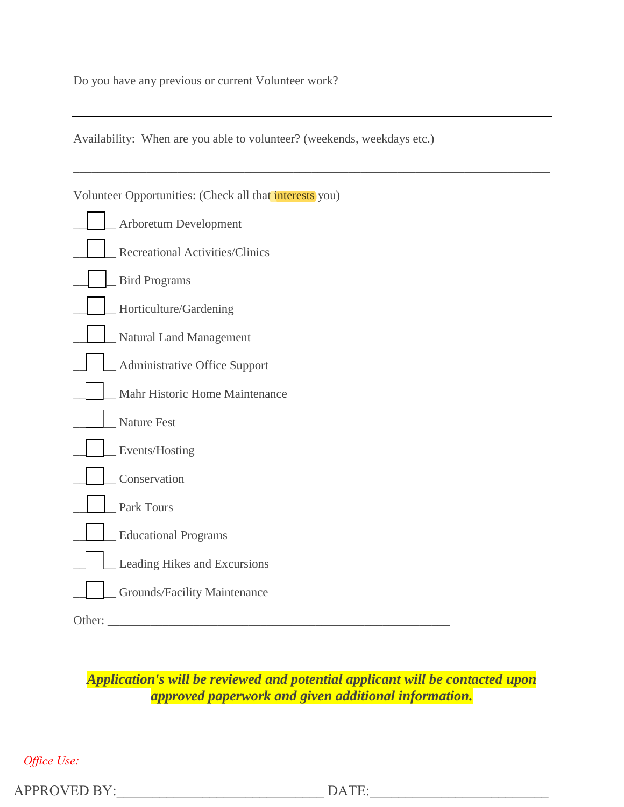Do you have any previous or current Volunteer work?

Availability: When are you able to volunteer? (weekends, weekdays etc.)

|        | Volunteer Opportunities: (Check all that interests you) |
|--------|---------------------------------------------------------|
|        | Arboretum Development                                   |
|        | <b>Recreational Activities/Clinics</b>                  |
|        | <b>Bird Programs</b>                                    |
|        | Horticulture/Gardening                                  |
|        | Natural Land Management                                 |
|        | Administrative Office Support                           |
|        | Mahr Historic Home Maintenance                          |
|        | <b>Nature Fest</b>                                      |
|        | Events/Hosting                                          |
|        | Conservation                                            |
|        | Park Tours                                              |
|        | <b>Educational Programs</b>                             |
|        | Leading Hikes and Excursions                            |
|        | Grounds/Facility Maintenance                            |
| Other: |                                                         |

\_\_\_\_\_\_\_\_\_\_\_\_\_\_\_\_\_\_\_\_\_\_\_\_\_\_\_\_\_\_\_\_\_\_\_\_\_\_\_\_\_\_\_\_\_\_\_\_\_\_\_\_\_\_\_\_\_\_\_\_\_\_\_\_\_\_\_\_\_\_\_\_\_\_\_\_\_\_

*Application's will be reviewed and potential applicant will be contacted upon approved paperwork and given additional information.*

*Office Use:*

APPROVED BY: The DATE: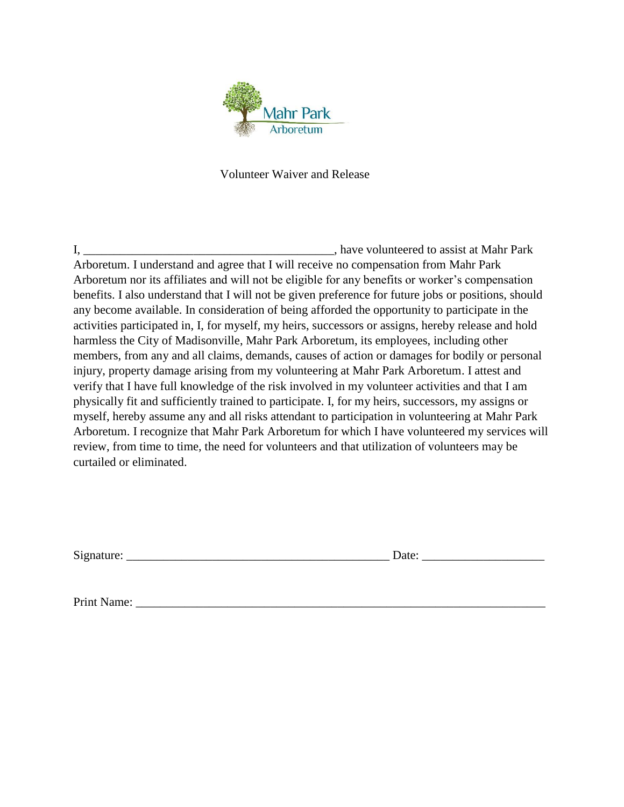

## Volunteer Waiver and Release

I, \_\_\_\_\_\_\_\_\_\_\_\_\_\_\_\_\_\_\_\_\_\_\_\_\_\_\_\_\_\_\_\_\_\_\_\_\_\_\_\_\_, have volunteered to assist at Mahr Park Arboretum. I understand and agree that I will receive no compensation from Mahr Park Arboretum nor its affiliates and will not be eligible for any benefits or worker's compensation benefits. I also understand that I will not be given preference for future jobs or positions, should any become available. In consideration of being afforded the opportunity to participate in the activities participated in, I, for myself, my heirs, successors or assigns, hereby release and hold harmless the City of Madisonville, Mahr Park Arboretum, its employees, including other members, from any and all claims, demands, causes of action or damages for bodily or personal injury, property damage arising from my volunteering at Mahr Park Arboretum. I attest and verify that I have full knowledge of the risk involved in my volunteer activities and that I am physically fit and sufficiently trained to participate. I, for my heirs, successors, my assigns or myself, hereby assume any and all risks attendant to participation in volunteering at Mahr Park Arboretum. I recognize that Mahr Park Arboretum for which I have volunteered my services will review, from time to time, the need for volunteers and that utilization of volunteers may be curtailed or eliminated.

Signature: \_\_\_\_\_\_\_\_\_\_\_\_\_\_\_\_\_\_\_\_\_\_\_\_\_\_\_\_\_\_\_\_\_\_\_\_\_\_\_\_\_\_\_ Date: \_\_\_\_\_\_\_\_\_\_\_\_\_\_\_\_\_\_\_\_

Print Name: \_\_\_\_\_\_\_\_\_\_\_\_\_\_\_\_\_\_\_\_\_\_\_\_\_\_\_\_\_\_\_\_\_\_\_\_\_\_\_\_\_\_\_\_\_\_\_\_\_\_\_\_\_\_\_\_\_\_\_\_\_\_\_\_\_\_\_